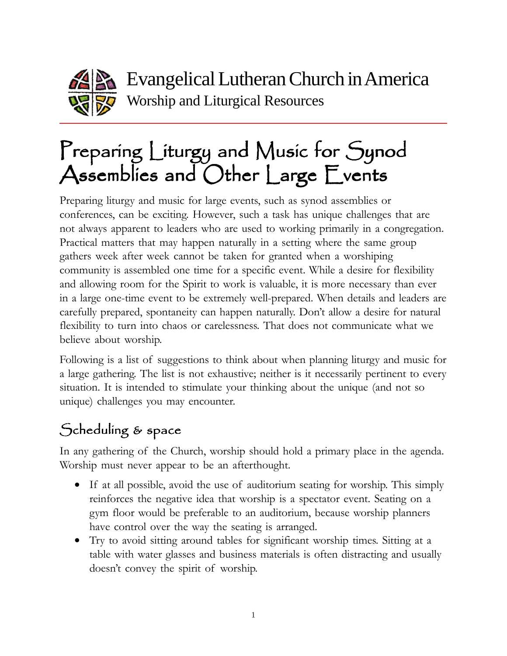

Evangelical Lutheran Church in America Worship and Liturgical Resources

# Preparing Liturgy and Music for Synod Assemblies and Other Large Events

Preparing liturgy and music for large events, such as synod assemblies or conferences, can be exciting. However, such a task has unique challenges that are not always apparent to leaders who are used to working primarily in a congregation. Practical matters that may happen naturally in a setting where the same group gathers week after week cannot be taken for granted when a worshiping community is assembled one time for a specific event. While a desire for flexibility and allowing room for the Spirit to work is valuable, it is more necessary than ever in a large one-time event to be extremely well-prepared. When details and leaders are carefully prepared, spontaneity can happen naturally. Don't allow a desire for natural flexibility to turn into chaos or carelessness. That does not communicate what we believe about worship.

Following is a list of suggestions to think about when planning liturgy and music for a large gathering. The list is not exhaustive; neither is it necessarily pertinent to every situation. It is intended to stimulate your thinking about the unique (and not so unique) challenges you may encounter.

# Scheduling & space

In any gathering of the Church, worship should hold a primary place in the agenda. Worship must never appear to be an afterthought.

- If at all possible, avoid the use of auditorium seating for worship. This simply reinforces the negative idea that worship is a spectator event. Seating on a gym floor would be preferable to an auditorium, because worship planners have control over the way the seating is arranged.
- Try to avoid sitting around tables for significant worship times. Sitting at a table with water glasses and business materials is often distracting and usually doesn't convey the spirit of worship.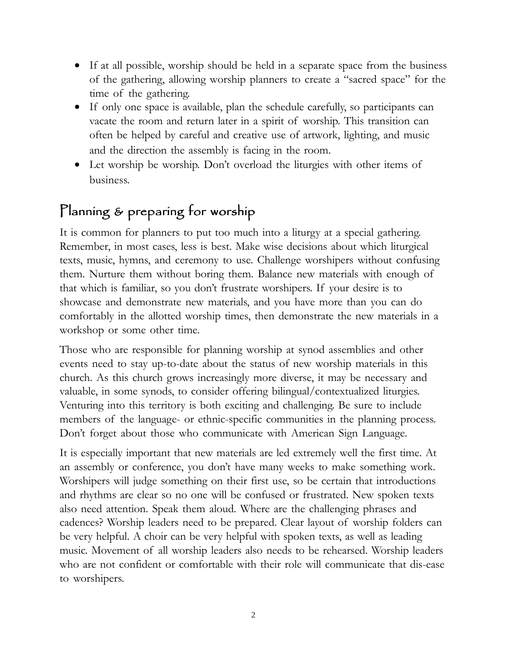- If at all possible, worship should be held in a separate space from the business of the gathering, allowing worship planners to create a "sacred space" for the time of the gathering.
- If only one space is available, plan the schedule carefully, so participants can vacate the room and return later in a spirit of worship. This transition can often be helped by careful and creative use of artwork, lighting, and music and the direction the assembly is facing in the room.
- Let worship be worship. Don't overload the liturgies with other items of business.

### Planning & preparing for worship

It is common for planners to put too much into a liturgy at a special gathering. Remember, in most cases, less is best. Make wise decisions about which liturgical texts, music, hymns, and ceremony to use. Challenge worshipers without confusing them. Nurture them without boring them. Balance new materials with enough of that which is familiar, so you don't frustrate worshipers. If your desire is to showcase and demonstrate new materials, and you have more than you can do comfortably in the allotted worship times, then demonstrate the new materials in a workshop or some other time.

Those who are responsible for planning worship at synod assemblies and other events need to stay up-to-date about the status of new worship materials in this church. As this church grows increasingly more diverse, it may be necessary and valuable, in some synods, to consider offering bilingual/contextualized liturgies. Venturing into this territory is both exciting and challenging. Be sure to include members of the language- or ethnic-specific communities in the planning process. Don't forget about those who communicate with American Sign Language.

It is especially important that new materials are led extremely well the first time. At an assembly or conference, you don't have many weeks to make something work. Worshipers will judge something on their first use, so be certain that introductions and rhythms are clear so no one will be confused or frustrated. New spoken texts also need attention. Speak them aloud. Where are the challenging phrases and cadences? Worship leaders need to be prepared. Clear layout of worship folders can be very helpful. A choir can be very helpful with spoken texts, as well as leading music. Movement of all worship leaders also needs to be rehearsed. Worship leaders who are not confident or comfortable with their role will communicate that dis-ease to worshipers.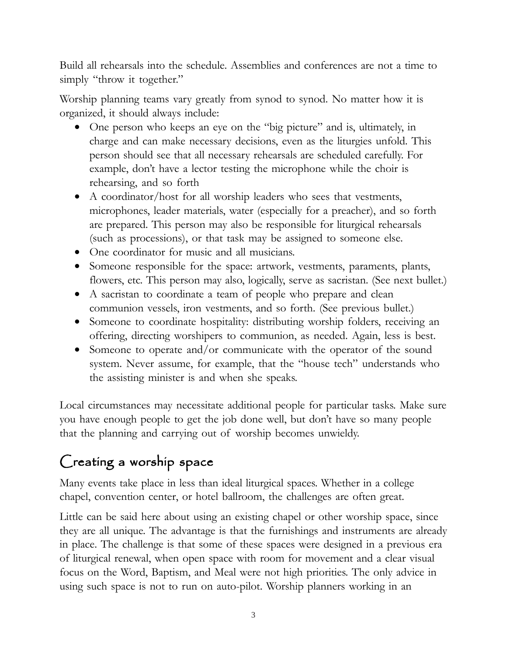Build all rehearsals into the schedule. Assemblies and conferences are not a time to simply "throw it together."

Worship planning teams vary greatly from synod to synod. No matter how it is organized, it should always include:

- One person who keeps an eye on the "big picture" and is, ultimately, in charge and can make necessary decisions, even as the liturgies unfold. This person should see that all necessary rehearsals are scheduled carefully. For example, don't have a lector testing the microphone while the choir is rehearsing, and so forth
- A coordinator/host for all worship leaders who sees that vestments, microphones, leader materials, water (especially for a preacher), and so forth are prepared. This person may also be responsible for liturgical rehearsals (such as processions), or that task may be assigned to someone else.
- One coordinator for music and all musicians.
- Someone responsible for the space: artwork, vestments, paraments, plants, flowers, etc. This person may also, logically, serve as sacristan. (See next bullet.)
- A sacristan to coordinate a team of people who prepare and clean communion vessels, iron vestments, and so forth. (See previous bullet.)
- Someone to coordinate hospitality: distributing worship folders, receiving an offering, directing worshipers to communion, as needed. Again, less is best.
- Someone to operate and/or communicate with the operator of the sound system. Never assume, for example, that the "house tech" understands who the assisting minister is and when she speaks.

Local circumstances may necessitate additional people for particular tasks. Make sure you have enough people to get the job done well, but don't have so many people that the planning and carrying out of worship becomes unwieldy.

# Creating a worship space

Many events take place in less than ideal liturgical spaces. Whether in a college chapel, convention center, or hotel ballroom, the challenges are often great.

Little can be said here about using an existing chapel or other worship space, since they are all unique. The advantage is that the furnishings and instruments are already in place. The challenge is that some of these spaces were designed in a previous era of liturgical renewal, when open space with room for movement and a clear visual focus on the Word, Baptism, and Meal were not high priorities. The only advice in using such space is not to run on auto-pilot. Worship planners working in an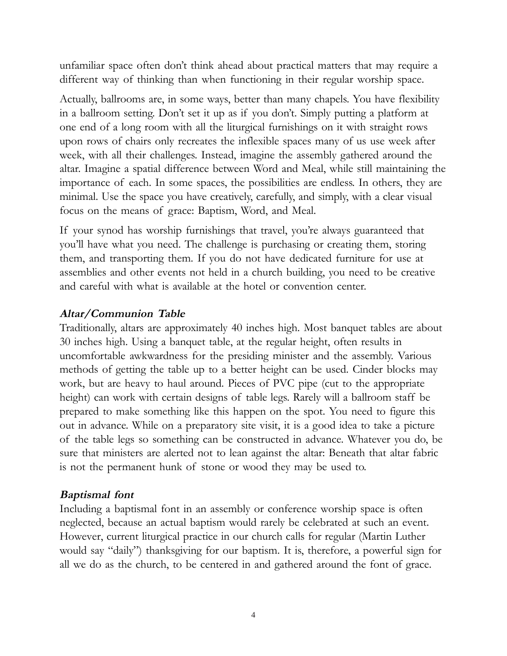unfamiliar space often don't think ahead about practical matters that may require a different way of thinking than when functioning in their regular worship space.

Actually, ballrooms are, in some ways, better than many chapels. You have flexibility in a ballroom setting. Don't set it up as if you don't. Simply putting a platform at one end of a long room with all the liturgical furnishings on it with straight rows upon rows of chairs only recreates the inflexible spaces many of us use week after week, with all their challenges. Instead, imagine the assembly gathered around the altar. Imagine a spatial difference between Word and Meal, while still maintaining the importance of each. In some spaces, the possibilities are endless. In others, they are minimal. Use the space you have creatively, carefully, and simply, with a clear visual focus on the means of grace: Baptism, Word, and Meal.

If your synod has worship furnishings that travel, you're always guaranteed that you'll have what you need. The challenge is purchasing or creating them, storing them, and transporting them. If you do not have dedicated furniture for use at assemblies and other events not held in a church building, you need to be creative and careful with what is available at the hotel or convention center.

#### **Altar/Communion Table**

Traditionally, altars are approximately 40 inches high. Most banquet tables are about 30 inches high. Using a banquet table, at the regular height, often results in uncomfortable awkwardness for the presiding minister and the assembly. Various methods of getting the table up to a better height can be used. Cinder blocks may work, but are heavy to haul around. Pieces of PVC pipe (cut to the appropriate height) can work with certain designs of table legs. Rarely will a ballroom staff be prepared to make something like this happen on the spot. You need to figure this out in advance. While on a preparatory site visit, it is a good idea to take a picture of the table legs so something can be constructed in advance. Whatever you do, be sure that ministers are alerted not to lean against the altar: Beneath that altar fabric is not the permanent hunk of stone or wood they may be used to.

#### **Baptismal font**

Including a baptismal font in an assembly or conference worship space is often neglected, because an actual baptism would rarely be celebrated at such an event. However, current liturgical practice in our church calls for regular (Martin Luther would say "daily") thanksgiving for our baptism. It is, therefore, a powerful sign for all we do as the church, to be centered in and gathered around the font of grace.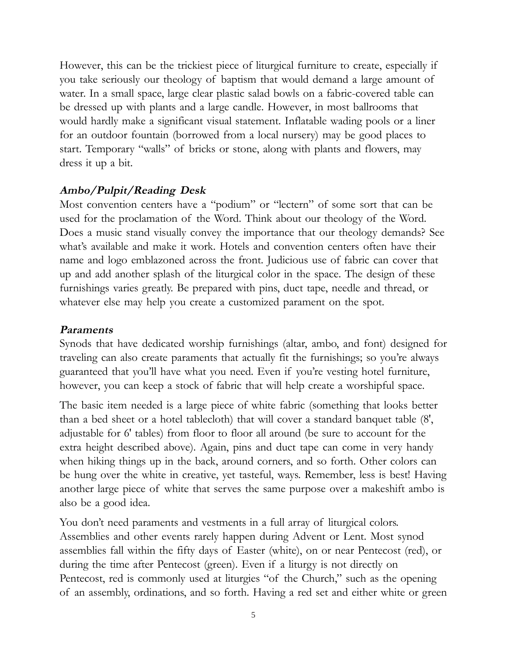However, this can be the trickiest piece of liturgical furniture to create, especially if you take seriously our theology of baptism that would demand a large amount of water. In a small space, large clear plastic salad bowls on a fabric-covered table can be dressed up with plants and a large candle. However, in most ballrooms that would hardly make a significant visual statement. Inflatable wading pools or a liner for an outdoor fountain (borrowed from a local nursery) may be good places to start. Temporary "walls" of bricks or stone, along with plants and flowers, may dress it up a bit.

#### **Ambo/Pulpit/Reading Desk**

Most convention centers have a "podium" or "lectern" of some sort that can be used for the proclamation of the Word. Think about our theology of the Word. Does a music stand visually convey the importance that our theology demands? See what's available and make it work. Hotels and convention centers often have their name and logo emblazoned across the front. Judicious use of fabric can cover that up and add another splash of the liturgical color in the space. The design of these furnishings varies greatly. Be prepared with pins, duct tape, needle and thread, or whatever else may help you create a customized parament on the spot.

#### **Paraments**

Synods that have dedicated worship furnishings (altar, ambo, and font) designed for traveling can also create paraments that actually fit the furnishings; so you're always guaranteed that you'll have what you need. Even if you're vesting hotel furniture, however, you can keep a stock of fabric that will help create a worshipful space.

The basic item needed is a large piece of white fabric (something that looks better than a bed sheet or a hotel tablecloth) that will cover a standard banquet table (8', adjustable for 6' tables) from floor to floor all around (be sure to account for the extra height described above). Again, pins and duct tape can come in very handy when hiking things up in the back, around corners, and so forth. Other colors can be hung over the white in creative, yet tasteful, ways. Remember, less is best! Having another large piece of white that serves the same purpose over a makeshift ambo is also be a good idea.

You don't need paraments and vestments in a full array of liturgical colors. Assemblies and other events rarely happen during Advent or Lent. Most synod assemblies fall within the fifty days of Easter (white), on or near Pentecost (red), or during the time after Pentecost (green). Even if a liturgy is not directly on Pentecost, red is commonly used at liturgies "of the Church," such as the opening of an assembly, ordinations, and so forth. Having a red set and either white or green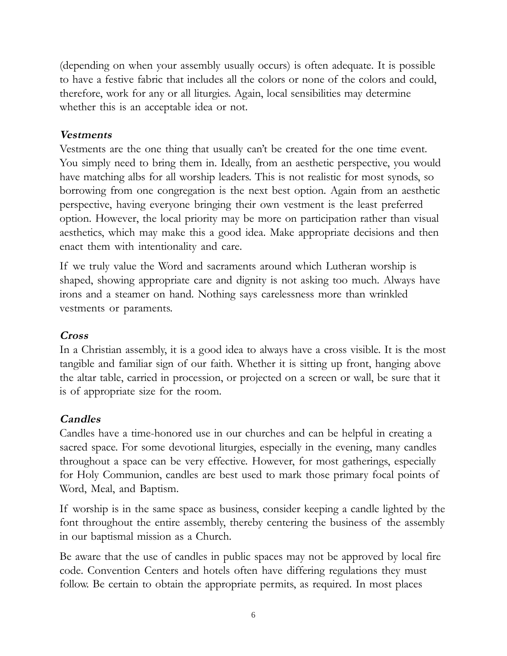(depending on when your assembly usually occurs) is often adequate. It is possible to have a festive fabric that includes all the colors or none of the colors and could, therefore, work for any or all liturgies. Again, local sensibilities may determine whether this is an acceptable idea or not.

#### **Vestments**

Vestments are the one thing that usually can't be created for the one time event. You simply need to bring them in. Ideally, from an aesthetic perspective, you would have matching albs for all worship leaders. This is not realistic for most synods, so borrowing from one congregation is the next best option. Again from an aesthetic perspective, having everyone bringing their own vestment is the least preferred option. However, the local priority may be more on participation rather than visual aesthetics, which may make this a good idea. Make appropriate decisions and then enact them with intentionality and care.

If we truly value the Word and sacraments around which Lutheran worship is shaped, showing appropriate care and dignity is not asking too much. Always have irons and a steamer on hand. Nothing says carelessness more than wrinkled vestments or paraments.

#### **Cross**

In a Christian assembly, it is a good idea to always have a cross visible. It is the most tangible and familiar sign of our faith. Whether it is sitting up front, hanging above the altar table, carried in procession, or projected on a screen or wall, be sure that it is of appropriate size for the room.

#### **Candles**

Candles have a time-honored use in our churches and can be helpful in creating a sacred space. For some devotional liturgies, especially in the evening, many candles throughout a space can be very effective. However, for most gatherings, especially for Holy Communion, candles are best used to mark those primary focal points of Word, Meal, and Baptism.

If worship is in the same space as business, consider keeping a candle lighted by the font throughout the entire assembly, thereby centering the business of the assembly in our baptismal mission as a Church.

Be aware that the use of candles in public spaces may not be approved by local fire code. Convention Centers and hotels often have differing regulations they must follow. Be certain to obtain the appropriate permits, as required. In most places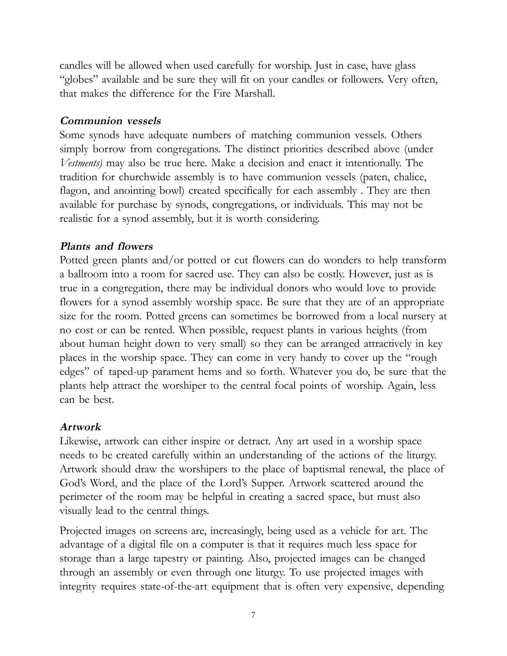candles will be allowed when used carefully for worship. Just in case, have glass "globes" available and be sure they will fit on your candles or followers. Very often, that makes the difference for the Fire Marshall.

#### **Communion vessels**

Some synods have adequate numbers of matching communion vessels. Others simply borrow from congregations. The distinct priorities described above (under *Vestments)* may also be true here. Make a decision and enact it intentionally. The tradition for churchwide assembly is to have communion vessels (paten, chalice, flagon, and anointing bowl) created specifically for each assembly. They are then available for purchase by synods, congregations, or individuals. This may not be realistic for a synod assembly, but it is worth considering.

#### **Plants and flowers**

Potted green plants and/or potted or cut flowers can do wonders to help transform a ballroom into a room for sacred use. They can also be costly. However, just as is true in a congregation, there may be individual donors who would love to provide flowers for a synod assembly worship space. Be sure that they are of an appropriate size for the room. Potted greens can sometimes be borrowed from a local nursery at no cost or can be rented. When possible, request plants in various heights (from about human height down to very small) so they can be arranged attractively in key places in the worship space. They can come in very handy to cover up the "rough edges" of taped-up parament hems and so forth. Whatever you do, be sure that the plants help attract the worshiper to the central focal points of worship. Again, less can be best.

#### **Artwork**

Likewise, artwork can either inspire or detract. Any art used in a worship space needs to be created carefully within an understanding of the actions of the liturgy. Artwork should draw the worshipers to the place of baptismal renewal, the place of God's Word, and the place of the Lord's Supper. Artwork scattered around the perimeter of the room may be helpful in creating a sacred space, but must also visually lead to the central things.

Projected images on screens are, increasingly, being used as a vehicle for art. The advantage of a digital file on a computer is that it requires much less space for storage than a large tapestry or painting. Also, projected images can be changed through an assembly or even through one liturgy. To use projected images with integrity requires state-of-the-art equipment that is often very expensive, depending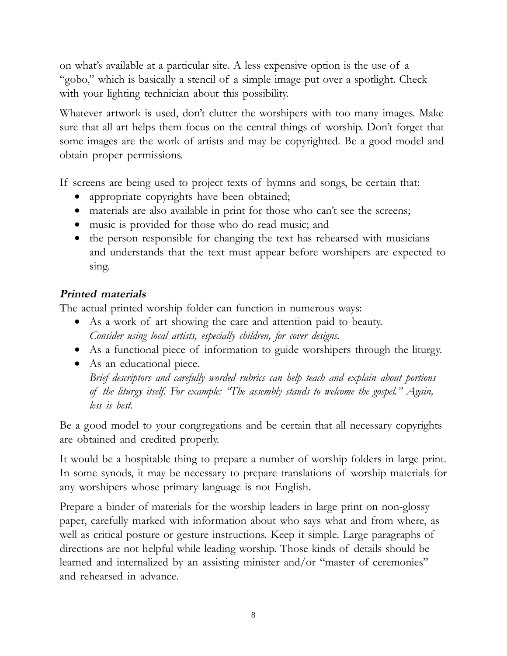on what's available at a particular site. A less expensive option is the use of a "gobo," which is basically a stencil of a simple image put over a spotlight. Check with your lighting technician about this possibility.

Whatever artwork is used, don't clutter the worshipers with too many images. Make sure that all art helps them focus on the central things of worship. Don't forget that some images are the work of artists and may be copyrighted. Be a good model and obtain proper permissions.

If screens are being used to project texts of hymns and songs, be certain that:

- appropriate copyrights have been obtained;
- materials are also available in print for those who can't see the screens;
- music is provided for those who do read music; and
- the person responsible for changing the text has rehearsed with musicians and understands that the text must appear before worshipers are expected to sing.

#### **Printed materials**

The actual printed worship folder can function in numerous ways:

- As a work of art showing the care and attention paid to beauty. *Consider using local artists, especially children, for cover designs.*
- As a functional piece of information to guide worshipers through the liturgy.
- As an educational piece. *Brief descriptors and carefully worded rubrics can help teach and explain about portions of the liturgy itself. For example: "The assembly stands to welcome the gospel." Again, less is best.*

Be a good model to your congregations and be certain that all necessary copyrights are obtained and credited properly.

It would be a hospitable thing to prepare a number of worship folders in large print. In some synods, it may be necessary to prepare translations of worship materials for any worshipers whose primary language is not English.

Prepare a binder of materials for the worship leaders in large print on non-glossy paper, carefully marked with information about who says what and from where, as well as critical posture or gesture instructions. Keep it simple. Large paragraphs of directions are not helpful while leading worship. Those kinds of details should be learned and internalized by an assisting minister and/or "master of ceremonies" and rehearsed in advance.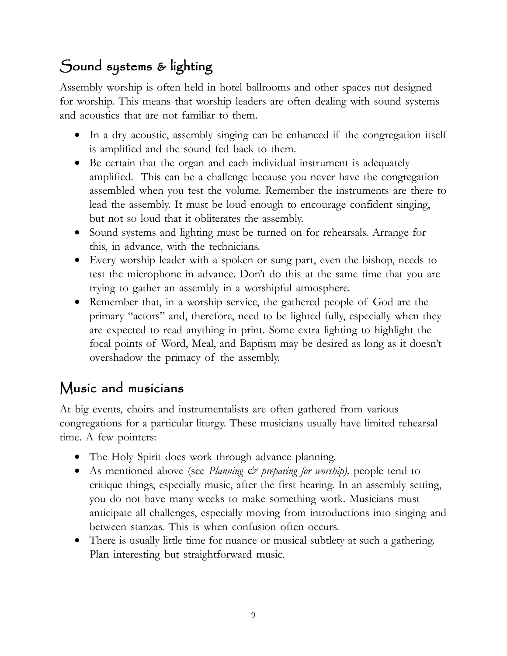## Sound systems & lighting

Assembly worship is often held in hotel ballrooms and other spaces not designed for worship. This means that worship leaders are often dealing with sound systems and acoustics that are not familiar to them.

- In a dry acoustic, assembly singing can be enhanced if the congregation itself is amplified and the sound fed back to them.
- Be certain that the organ and each individual instrument is adequately amplified. This can be a challenge because you never have the congregation assembled when you test the volume. Remember the instruments are there to lead the assembly. It must be loud enough to encourage confident singing, but not so loud that it obliterates the assembly.
- Sound systems and lighting must be turned on for rehearsals. Arrange for this, in advance, with the technicians.
- Every worship leader with a spoken or sung part, even the bishop, needs to test the microphone in advance. Don't do this at the same time that you are trying to gather an assembly in a worshipful atmosphere.
- Remember that, in a worship service, the gathered people of God are the primary "actors" and, therefore, need to be lighted fully, especially when they are expected to read anything in print. Some extra lighting to highlight the focal points of Word, Meal, and Baptism may be desired as long as it doesn't overshadow the primacy of the assembly.

### Music and musicians

At big events, choirs and instrumentalists are often gathered from various congregations for a particular liturgy. These musicians usually have limited rehearsal time. A few pointers:

- The Holy Spirit does work through advance planning.
- As mentioned above (see *Planning & preparing for worship*), people tend to critique things, especially music, after the first hearing. In an assembly setting, you do not have many weeks to make something work. Musicians must anticipate all challenges, especially moving from introductions into singing and between stanzas. This is when confusion often occurs.
- There is usually little time for nuance or musical subtlety at such a gathering. Plan interesting but straightforward music.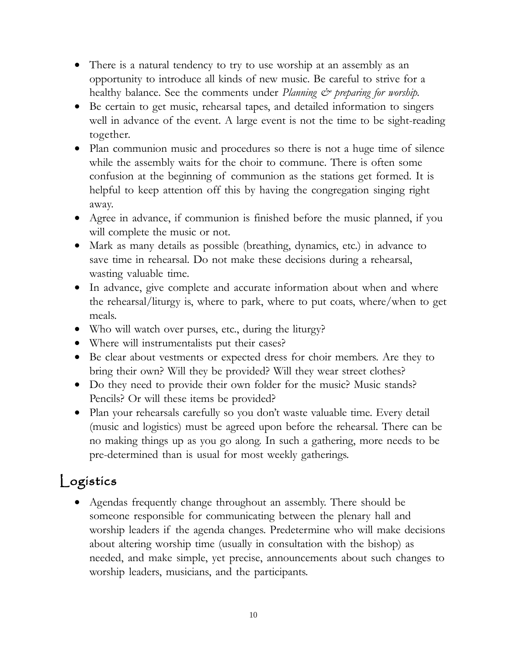- There is a natural tendency to try to use worship at an assembly as an opportunity to introduce all kinds of new music. Be careful to strive for a healthy balance. See the comments under *Planning & preparing for worship*.
- Be certain to get music, rehearsal tapes, and detailed information to singers well in advance of the event. A large event is not the time to be sight-reading together.
- Plan communion music and procedures so there is not a huge time of silence while the assembly waits for the choir to commune. There is often some confusion at the beginning of communion as the stations get formed. It is helpful to keep attention off this by having the congregation singing right away.
- Agree in advance, if communion is finished before the music planned, if you will complete the music or not.
- Mark as many details as possible (breathing, dynamics, etc.) in advance to save time in rehearsal. Do not make these decisions during a rehearsal, wasting valuable time.
- In advance, give complete and accurate information about when and where the rehearsal/liturgy is, where to park, where to put coats, where/when to get meals.
- Who will watch over purses, etc., during the liturgy?
- Where will instrumentalists put their cases?
- Be clear about vestments or expected dress for choir members. Are they to bring their own? Will they be provided? Will they wear street clothes?
- Do they need to provide their own folder for the music? Music stands? Pencils? Or will these items be provided?
- Plan your rehearsals carefully so you don't waste valuable time. Every detail (music and logistics) must be agreed upon before the rehearsal. There can be no making things up as you go along. In such a gathering, more needs to be pre-determined than is usual for most weekly gatherings.

# Logistics

• Agendas frequently change throughout an assembly. There should be someone responsible for communicating between the plenary hall and worship leaders if the agenda changes. Predetermine who will make decisions about altering worship time (usually in consultation with the bishop) as needed, and make simple, yet precise, announcements about such changes to worship leaders, musicians, and the participants.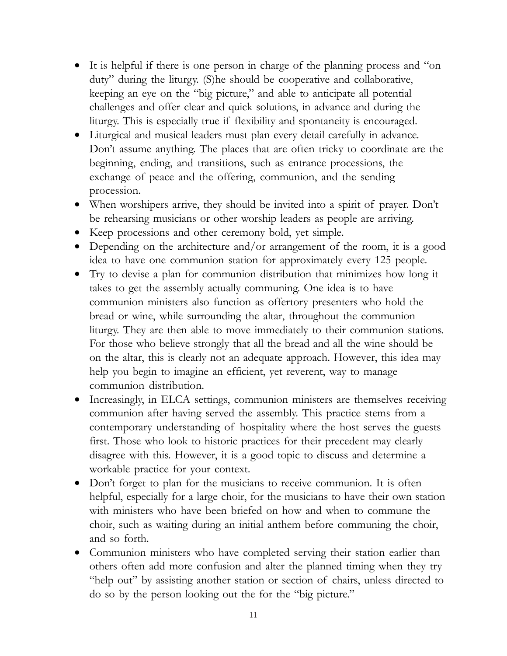- It is helpful if there is one person in charge of the planning process and "on duty" during the liturgy. (S)he should be cooperative and collaborative, keeping an eye on the "big picture," and able to anticipate all potential challenges and offer clear and quick solutions, in advance and during the liturgy. This is especially true if flexibility and spontaneity is encouraged.
- Liturgical and musical leaders must plan every detail carefully in advance. Don't assume anything. The places that are often tricky to coordinate are the beginning, ending, and transitions, such as entrance processions, the exchange of peace and the offering, communion, and the sending procession.
- When worshipers arrive, they should be invited into a spirit of prayer. Don't be rehearsing musicians or other worship leaders as people are arriving.
- Keep processions and other ceremony bold, yet simple.
- Depending on the architecture and/or arrangement of the room, it is a good idea to have one communion station for approximately every 125 people.
- Try to devise a plan for communion distribution that minimizes how long it takes to get the assembly actually communing. One idea is to have communion ministers also function as offertory presenters who hold the bread or wine, while surrounding the altar, throughout the communion liturgy. They are then able to move immediately to their communion stations. For those who believe strongly that all the bread and all the wine should be on the altar, this is clearly not an adequate approach. However, this idea may help you begin to imagine an efficient, yet reverent, way to manage communion distribution.
- Increasingly, in ELCA settings, communion ministers are themselves receiving communion after having served the assembly. This practice stems from a contemporary understanding of hospitality where the host serves the guests first. Those who look to historic practices for their precedent may clearly disagree with this. However, it is a good topic to discuss and determine a workable practice for your context.
- Don't forget to plan for the musicians to receive communion. It is often helpful, especially for a large choir, for the musicians to have their own station with ministers who have been briefed on how and when to commune the choir, such as waiting during an initial anthem before communing the choir, and so forth.
- Communion ministers who have completed serving their station earlier than others often add more confusion and alter the planned timing when they try "help out" by assisting another station or section of chairs, unless directed to do so by the person looking out the for the "big picture."